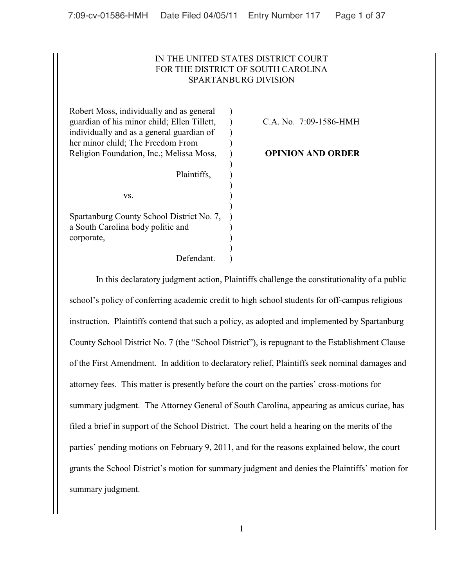# IN THE UNITED STATES DISTRICT COURT FOR THE DISTRICT OF SOUTH CAROLINA SPARTANBURG DIVISION

)

)

)

)

Robert Moss, individually and as general  $\qquad$ ) guardian of his minor child; Ellen Tillett, ) C.A. No. 7:09-1586-HMH individually and as a general guardian of ) her minor child; The Freedom From  $)$ Religion Foundation, Inc.; Melissa Moss, ) **OPINION AND ORDER**

 $\mathbf{v}\mathbf{s}$ .  $\qquad \qquad$  )

Spartanburg County School District No. 7, ) a South Carolina body politic and ) corporate,  $\qquad \qquad$  )

Defendant.

Plaintiffs,  $\qquad$ )

In this declaratory judgment action, Plaintiffs challenge the constitutionality of a public school's policy of conferring academic credit to high school students for off-campus religious instruction. Plaintiffs contend that such a policy, as adopted and implemented by Spartanburg County School District No. 7 (the "School District"), is repugnant to the Establishment Clause of the First Amendment. In addition to declaratory relief, Plaintiffs seek nominal damages and attorney fees. This matter is presently before the court on the parties' cross-motions for summary judgment. The Attorney General of South Carolina, appearing as amicus curiae, has filed a brief in support of the School District. The court held a hearing on the merits of the parties' pending motions on February 9, 2011, and for the reasons explained below, the court grants the School District's motion for summary judgment and denies the Plaintiffs' motion for summary judgment.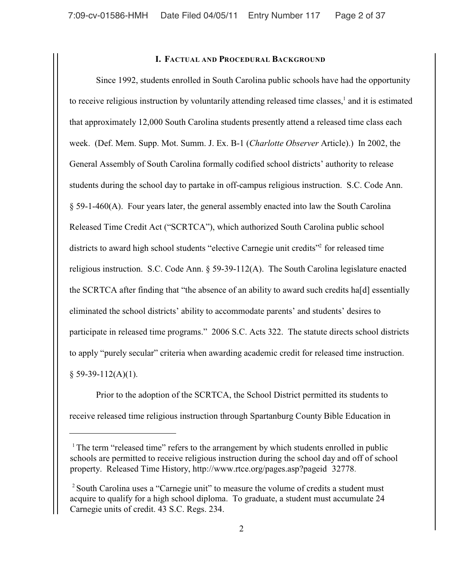## **I. FACTUAL AND PROCEDURAL BACKGROUND**

Since 1992, students enrolled in South Carolina public schools have had the opportunity to receive religious instruction by voluntarily attending released time classes, $<sup>1</sup>$  and it is estimated</sup> that approximately 12,000 South Carolina students presently attend a released time class each week. (Def. Mem. Supp. Mot. Summ. J. Ex. B-1 (*Charlotte Observer* Article).) In 2002, the General Assembly of South Carolina formally codified school districts' authority to release students during the school day to partake in off-campus religious instruction. S.C. Code Ann. § 59-1-460(A). Four years later, the general assembly enacted into law the South Carolina Released Time Credit Act ("SCRTCA"), which authorized South Carolina public school districts to award high school students "elective Carnegie unit credits" for released time religious instruction. S.C. Code Ann. § 59-39-112(A). The South Carolina legislature enacted the SCRTCA after finding that "the absence of an ability to award such credits ha[d] essentially eliminated the school districts' ability to accommodate parents' and students' desires to participate in released time programs." 2006 S.C. Acts 322. The statute directs school districts to apply "purely secular" criteria when awarding academic credit for released time instruction.  $§$  59-39-112(A)(1).

Prior to the adoption of the SCRTCA, the School District permitted its students to receive released time religious instruction through Spartanburg County Bible Education in

<sup>&</sup>lt;sup>1</sup> The term "released time" refers to the arrangement by which students enrolled in public schools are permitted to receive religious instruction during the school day and off of school property. Released Time History, http://www.rtce.org/pages.asp?pageid 3277[8.](http://www.rtce.org.)

<sup>&</sup>lt;sup>2</sup> South Carolina uses a "Carnegie unit" to measure the volume of credits a student must acquire to qualify for a high school diploma. To graduate, a student must accumulate 24 Carnegie units of credit. 43 S.C. Regs. 234.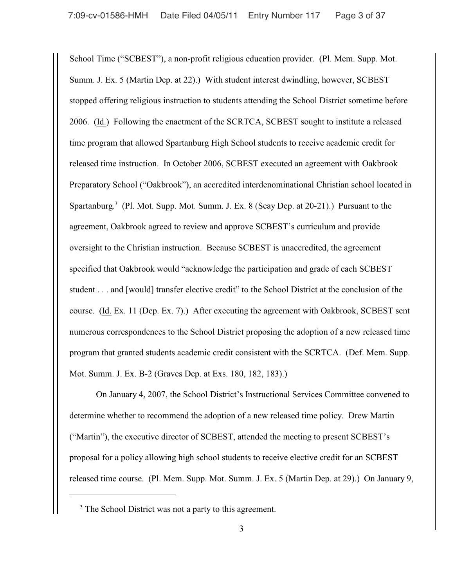School Time ("SCBEST"), a non-profit religious education provider. (Pl. Mem. Supp. Mot. Summ. J. Ex. 5 (Martin Dep. at 22).) With student interest dwindling, however, SCBEST stopped offering religious instruction to students attending the School District sometime before 2006. (Id.) Following the enactment of the SCRTCA, SCBEST sought to institute a released time program that allowed Spartanburg High School students to receive academic credit for released time instruction. In October 2006, SCBEST executed an agreement with Oakbrook Preparatory School ("Oakbrook"), an accredited interdenominational Christian school located in Spartanburg.<sup>3</sup> (Pl. Mot. Supp. Mot. Summ. J. Ex. 8 (Seay Dep. at 20-21).) Pursuant to the agreement, Oakbrook agreed to review and approve SCBEST's curriculum and provide oversight to the Christian instruction. Because SCBEST is unaccredited, the agreement specified that Oakbrook would "acknowledge the participation and grade of each SCBEST student . . . and [would] transfer elective credit" to the School District at the conclusion of the course. (Id. Ex. 11 (Dep. Ex. 7).) After executing the agreement with Oakbrook, SCBEST sent numerous correspondences to the School District proposing the adoption of a new released time program that granted students academic credit consistent with the SCRTCA. (Def. Mem. Supp. Mot. Summ. J. Ex. B-2 (Graves Dep. at Exs. 180, 182, 183).)

On January 4, 2007, the School District's Instructional Services Committee convened to determine whether to recommend the adoption of a new released time policy. Drew Martin ("Martin"), the executive director of SCBEST, attended the meeting to present SCBEST's proposal for a policy allowing high school students to receive elective credit for an SCBEST released time course. (Pl. Mem. Supp. Mot. Summ. J. Ex. 5 (Martin Dep. at 29).) On January 9,

<sup>&</sup>lt;sup>3</sup> The School District was not a party to this agreement.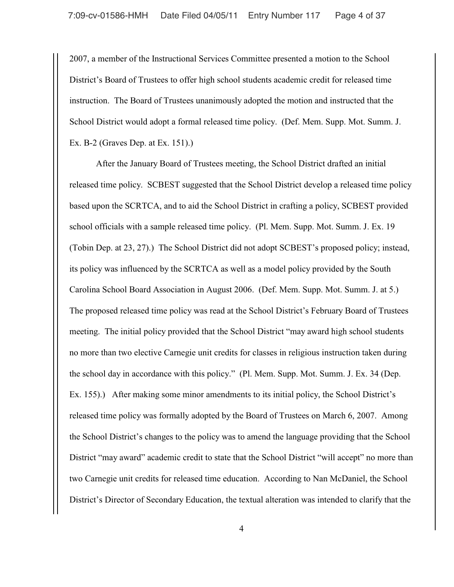2007, a member of the Instructional Services Committee presented a motion to the School District's Board of Trustees to offer high school students academic credit for released time instruction. The Board of Trustees unanimously adopted the motion and instructed that the School District would adopt a formal released time policy. (Def. Mem. Supp. Mot. Summ. J. Ex. B-2 (Graves Dep. at Ex. 151).)

After the January Board of Trustees meeting, the School District drafted an initial released time policy. SCBEST suggested that the School District develop a released time policy based upon the SCRTCA, and to aid the School District in crafting a policy, SCBEST provided school officials with a sample released time policy. (Pl. Mem. Supp. Mot. Summ. J. Ex. 19 (Tobin Dep. at 23, 27).) The School District did not adopt SCBEST's proposed policy; instead, its policy was influenced by the SCRTCA as well as a model policy provided by the South Carolina School Board Association in August 2006. (Def. Mem. Supp. Mot. Summ. J. at 5.) The proposed released time policy was read at the School District's February Board of Trustees meeting. The initial policy provided that the School District "may award high school students no more than two elective Carnegie unit credits for classes in religious instruction taken during the school day in accordance with this policy." (Pl. Mem. Supp. Mot. Summ. J. Ex. 34 (Dep. Ex. 155).) After making some minor amendments to its initial policy, the School District's released time policy was formally adopted by the Board of Trustees on March 6, 2007. Among the School District's changes to the policy was to amend the language providing that the School District "may award" academic credit to state that the School District "will accept" no more than two Carnegie unit credits for released time education. According to Nan McDaniel, the School District's Director of Secondary Education, the textual alteration was intended to clarify that the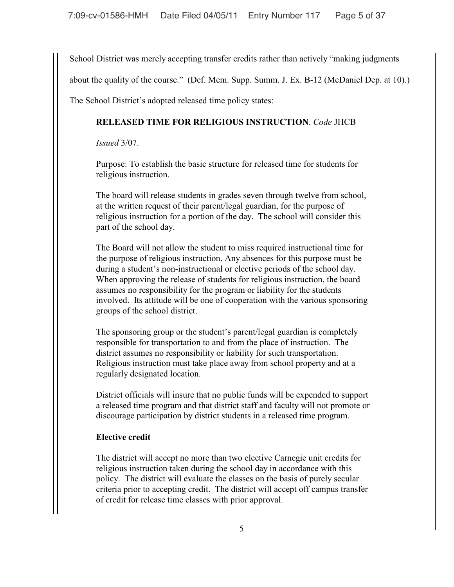School District was merely accepting transfer credits rather than actively "making judgments

about the quality of the course." (Def. Mem. Supp. Summ. J. Ex. B-12 (McDaniel Dep. at 10).)

The School District's adopted released time policy states:

# **RELEASED TIME FOR RELIGIOUS INSTRUCTION**. *Code* JHCB

*Issued* 3/07.

Purpose: To establish the basic structure for released time for students for religious instruction.

The board will release students in grades seven through twelve from school, at the written request of their parent/legal guardian, for the purpose of religious instruction for a portion of the day. The school will consider this part of the school day.

The Board will not allow the student to miss required instructional time for the purpose of religious instruction. Any absences for this purpose must be during a student's non-instructional or elective periods of the school day. When approving the release of students for religious instruction, the board assumes no responsibility for the program or liability for the students involved. Its attitude will be one of cooperation with the various sponsoring groups of the school district.

The sponsoring group or the student's parent/legal guardian is completely responsible for transportation to and from the place of instruction. The district assumes no responsibility or liability for such transportation. Religious instruction must take place away from school property and at a regularly designated location.

District officials will insure that no public funds will be expended to support a released time program and that district staff and faculty will not promote or discourage participation by district students in a released time program.

# **Elective credit**

The district will accept no more than two elective Carnegie unit credits for religious instruction taken during the school day in accordance with this policy. The district will evaluate the classes on the basis of purely secular criteria prior to accepting credit. The district will accept off campus transfer of credit for release time classes with prior approval.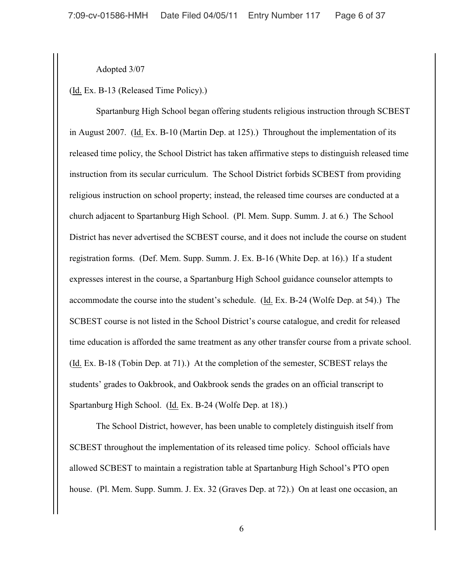Adopted 3/07

(Id. Ex. B-13 (Released Time Policy).)

Spartanburg High School began offering students religious instruction through SCBEST in August 2007. (Id. Ex. B-10 (Martin Dep. at 125).) Throughout the implementation of its released time policy, the School District has taken affirmative steps to distinguish released time instruction from its secular curriculum. The School District forbids SCBEST from providing religious instruction on school property; instead, the released time courses are conducted at a church adjacent to Spartanburg High School. (Pl. Mem. Supp. Summ. J. at 6.) The School District has never advertised the SCBEST course, and it does not include the course on student registration forms. (Def. Mem. Supp. Summ. J. Ex. B-16 (White Dep. at 16).) If a student expresses interest in the course, a Spartanburg High School guidance counselor attempts to accommodate the course into the student's schedule. (Id. Ex. B-24 (Wolfe Dep. at 54).) The SCBEST course is not listed in the School District's course catalogue, and credit for released time education is afforded the same treatment as any other transfer course from a private school. (Id. Ex. B-18 (Tobin Dep. at 71).) At the completion of the semester, SCBEST relays the students' grades to Oakbrook, and Oakbrook sends the grades on an official transcript to Spartanburg High School. (Id. Ex. B-24 (Wolfe Dep. at 18).)

 The School District, however, has been unable to completely distinguish itself from SCBEST throughout the implementation of its released time policy. School officials have allowed SCBEST to maintain a registration table at Spartanburg High School's PTO open house. (Pl. Mem. Supp. Summ. J. Ex. 32 (Graves Dep. at 72).) On at least one occasion, an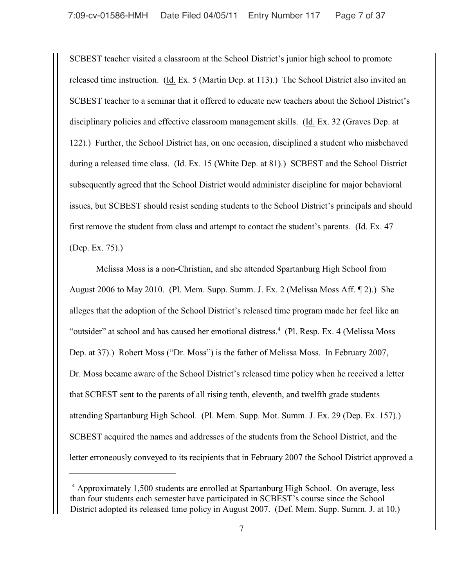SCBEST teacher visited a classroom at the School District's junior high school to promote released time instruction. (Id. Ex. 5 (Martin Dep. at 113).) The School District also invited an SCBEST teacher to a seminar that it offered to educate new teachers about the School District's disciplinary policies and effective classroom management skills. (Id. Ex. 32 (Graves Dep. at 122).) Further, the School District has, on one occasion, disciplined a student who misbehaved during a released time class. (Id. Ex. 15 (White Dep. at 81).) SCBEST and the School District subsequently agreed that the School District would administer discipline for major behavioral issues, but SCBEST should resist sending students to the School District's principals and should first remove the student from class and attempt to contact the student's parents. (Id. Ex. 47 (Dep. Ex. 75).)

Melissa Moss is a non-Christian, and she attended Spartanburg High School from August 2006 to May 2010. (Pl. Mem. Supp. Summ. J. Ex. 2 (Melissa Moss Aff. ¶ 2).) She alleges that the adoption of the School District's released time program made her feel like an "outsider" at school and has caused her emotional distress.<sup>4</sup> (Pl. Resp. Ex. 4 (Melissa Moss) Dep. at 37).) Robert Moss ("Dr. Moss") is the father of Melissa Moss. In February 2007, Dr. Moss became aware of the School District's released time policy when he received a letter that SCBEST sent to the parents of all rising tenth, eleventh, and twelfth grade students attending Spartanburg High School. (Pl. Mem. Supp. Mot. Summ. J. Ex. 29 (Dep. Ex. 157).) SCBEST acquired the names and addresses of the students from the School District, and the letter erroneously conveyed to its recipients that in February 2007 the School District approved a

<sup>&</sup>lt;sup>4</sup> Approximately 1,500 students are enrolled at Spartanburg High School. On average, less than four students each semester have participated in SCBEST's course since the School District adopted its released time policy in August 2007. (Def. Mem. Supp. Summ. J. at 10.)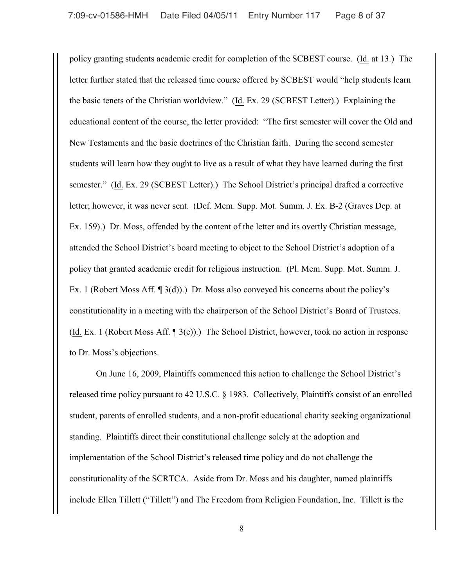policy granting students academic credit for completion of the SCBEST course. (Id. at 13.) The letter further stated that the released time course offered by SCBEST would "help students learn the basic tenets of the Christian worldview." (Id. Ex. 29 (SCBEST Letter).) Explaining the educational content of the course, the letter provided: "The first semester will cover the Old and New Testaments and the basic doctrines of the Christian faith. During the second semester students will learn how they ought to live as a result of what they have learned during the first semester." (Id. Ex. 29 (SCBEST Letter).) The School District's principal drafted a corrective letter; however, it was never sent. (Def. Mem. Supp. Mot. Summ. J. Ex. B-2 (Graves Dep. at Ex. 159).) Dr. Moss, offended by the content of the letter and its overtly Christian message, attended the School District's board meeting to object to the School District's adoption of a policy that granted academic credit for religious instruction. (Pl. Mem. Supp. Mot. Summ. J. Ex. 1 (Robert Moss Aff. ¶ 3(d)).) Dr. Moss also conveyed his concerns about the policy's constitutionality in a meeting with the chairperson of the School District's Board of Trustees. (Id. Ex. 1 (Robert Moss Aff. ¶ 3(e)).) The School District, however, took no action in response to Dr. Moss's objections.

On June 16, 2009, Plaintiffs commenced this action to challenge the School District's released time policy pursuant to 42 U.S.C. § 1983. Collectively, Plaintiffs consist of an enrolled student, parents of enrolled students, and a non-profit educational charity seeking organizational standing. Plaintiffs direct their constitutional challenge solely at the adoption and implementation of the School District's released time policy and do not challenge the constitutionality of the SCRTCA. Aside from Dr. Moss and his daughter, named plaintiffs include Ellen Tillett ("Tillett") and The Freedom from Religion Foundation, Inc. Tillett is the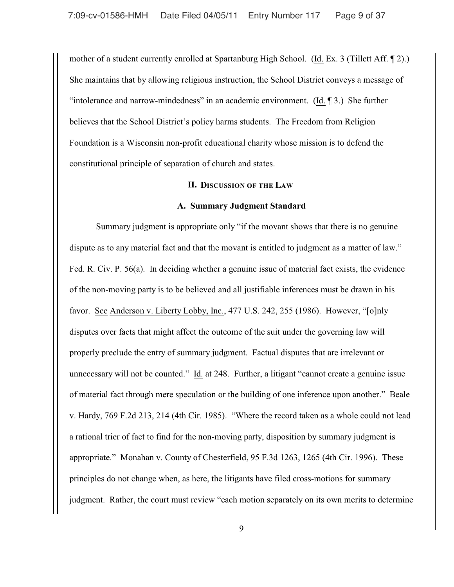mother of a student currently enrolled at Spartanburg High School. (Id. Ex. 3 (Tillett Aff. ¶ 2).) She maintains that by allowing religious instruction, the School District conveys a message of "intolerance and narrow-mindedness" in an academic environment. (Id. ¶ 3.) She further believes that the School District's policy harms students. The Freedom from Religion Foundation is a Wisconsin non-profit educational charity whose mission is to defend the constitutional principle of separation of church and states.

### **II. DISCUSSION OF THE LAW**

#### **A. Summary Judgment Standard**

 Summary judgment is appropriate only "if the movant shows that there is no genuine dispute as to any material fact and that the movant is entitled to judgment as a matter of law." Fed. R. Civ. P. 56(a). In deciding whether a genuine issue of material fact exists, the evidence of the non-moving party is to be believed and all justifiable inferences must be drawn in his favor. See Anderson v. Liberty Lobby, Inc., 477 U.S. 242, 255 (1986). However, "[o]nly disputes over facts that might affect the outcome of the suit under the governing law will properly preclude the entry of summary judgment. Factual disputes that are irrelevant or unnecessary will not be counted." Id. at 248. Further, a litigant "cannot create a genuine issue of material fact through mere speculation or the building of one inference upon another." Beale v. Hardy, 769 F.2d 213, 214 (4th Cir. 1985). "Where the record taken as a whole could not lead a rational trier of fact to find for the non-moving party, disposition by summary judgment is appropriate." Monahan v. County of Chesterfield, 95 F.3d 1263, 1265 (4th Cir. 1996). These principles do not change when, as here, the litigants have filed cross-motions for summary judgment. Rather, the court must review "each motion separately on its own merits to determine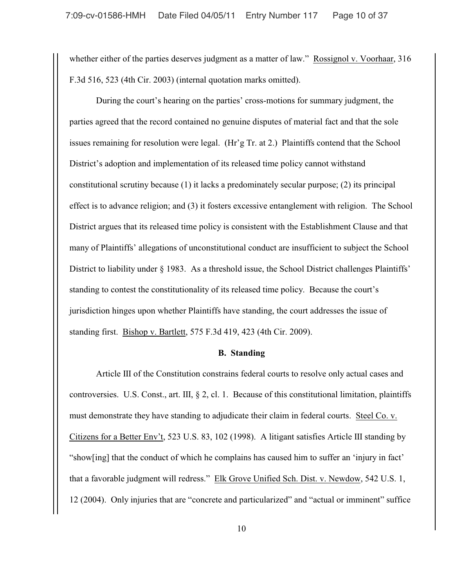whether either of the parties deserves judgment as a matter of law." Rossignol v. Voorhaar, 316 F.3d 516, 523 (4th Cir. 2003) (internal quotation marks omitted).

During the court's hearing on the parties' cross-motions for summary judgment, the parties agreed that the record contained no genuine disputes of material fact and that the sole issues remaining for resolution were legal. (Hr'g Tr. at 2.) Plaintiffs contend that the School District's adoption and implementation of its released time policy cannot withstand constitutional scrutiny because (1) it lacks a predominately secular purpose; (2) its principal effect is to advance religion; and (3) it fosters excessive entanglement with religion. The School District argues that its released time policy is consistent with the Establishment Clause and that many of Plaintiffs' allegations of unconstitutional conduct are insufficient to subject the School District to liability under § 1983. As a threshold issue, the School District challenges Plaintiffs' standing to contest the constitutionality of its released time policy. Because the court's jurisdiction hinges upon whether Plaintiffs have standing, the court addresses the issue of standing first. Bishop v. Bartlett, 575 F.3d 419, 423 (4th Cir. 2009).

#### **B. Standing**

Article III of the Constitution constrains federal courts to resolve only actual cases and controversies. U.S. Const., art. III, § 2, cl. 1. Because of this constitutional limitation, plaintiffs must demonstrate they have standing to adjudicate their claim in federal courts. Steel Co. v. Citizens for a Better Env't, 523 U.S. 83, 102 (1998). A litigant satisfies Article III standing by "show[ing] that the conduct of which he complains has caused him to suffer an 'injury in fact' that a favorable judgment will redress." Elk Grove Unified Sch. Dist. v. Newdow, 542 U.S. 1, 12 (2004). Only injuries that are "concrete and particularized" and "actual or imminent" suffice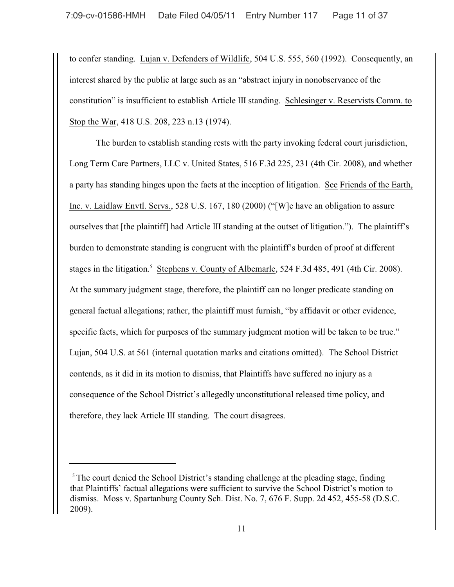to confer standing. Lujan v. Defenders of Wildlife, 504 U.S. 555, 560 (1992). Consequently, an interest shared by the public at large such as an "abstract injury in nonobservance of the constitution" is insufficient to establish Article III standing. Schlesinger v. Reservists Comm. to Stop the War, 418 U.S. 208, 223 n.13 (1974).

The burden to establish standing rests with the party invoking federal court jurisdiction, Long Term Care Partners, LLC v. United States, 516 F.3d 225, 231 (4th Cir. 2008), and whether a party has standing hinges upon the facts at the inception of litigation. See Friends of the Earth, Inc. v. Laidlaw Envtl. Servs., 528 U.S. 167, 180 (2000) ("[W]e have an obligation to assure ourselves that [the plaintiff] had Article III standing at the outset of litigation."). The plaintiff's burden to demonstrate standing is congruent with the plaintiff's burden of proof at different stages in the litigation.<sup>5</sup> Stephens v. County of Albemarle, 524 F.3d 485, 491 (4th Cir. 2008). At the summary judgment stage, therefore, the plaintiff can no longer predicate standing on general factual allegations; rather, the plaintiff must furnish, "by affidavit or other evidence, specific facts, which for purposes of the summary judgment motion will be taken to be true." Lujan, 504 U.S. at 561 (internal quotation marks and citations omitted). The School District contends, as it did in its motion to dismiss, that Plaintiffs have suffered no injury as a consequence of the School District's allegedly unconstitutional released time policy, and therefore, they lack Article III standing. The court disagrees.

 $5$ The court denied the School District's standing challenge at the pleading stage, finding that Plaintiffs' factual allegations were sufficient to survive the School District's motion to dismiss. Moss v. Spartanburg County Sch. Dist. No. 7, 676 F. Supp. 2d 452, 455-58 (D.S.C. 2009).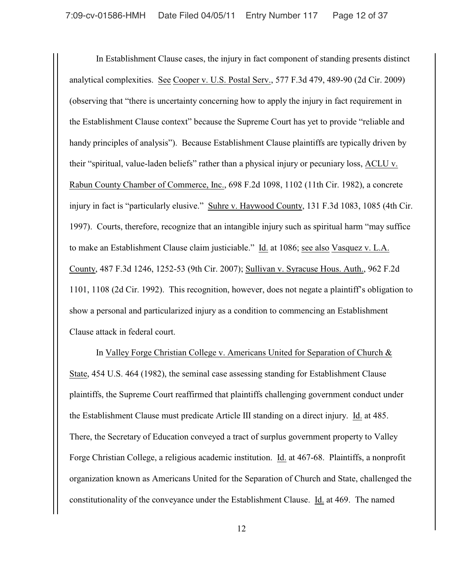In Establishment Clause cases, the injury in fact component of standing presents distinct analytical complexities. See Cooper v. U.S. Postal Serv., 577 F.3d 479, 489-90 (2d Cir. 2009) (observing that "there is uncertainty concerning how to apply the injury in fact requirement in the Establishment Clause context" because the Supreme Court has yet to provide "reliable and handy principles of analysis"). Because Establishment Clause plaintiffs are typically driven by their "spiritual, value-laden beliefs" rather than a physical injury or pecuniary loss, ACLU v. Rabun County Chamber of Commerce, Inc., 698 F.2d 1098, 1102 (11th Cir. 1982), a concrete injury in fact is "particularly elusive." Suhre v. Haywood County, 131 F.3d 1083, 1085 (4th Cir. 1997). Courts, therefore, recognize that an intangible injury such as spiritual harm "may suffice to make an Establishment Clause claim justiciable." Id. at 1086; see also Vasquez v. L.A. County, 487 F.3d 1246, 1252-53 (9th Cir. 2007); Sullivan v. Syracuse Hous. Auth., 962 F.2d 1101, 1108 (2d Cir. 1992). This recognition, however, does not negate a plaintiff's obligation to show a personal and particularized injury as a condition to commencing an Establishment Clause attack in federal court.

In Valley Forge Christian College v. Americans United for Separation of Church & State, 454 U.S. 464 (1982), the seminal case assessing standing for Establishment Clause plaintiffs, the Supreme Court reaffirmed that plaintiffs challenging government conduct under the Establishment Clause must predicate Article III standing on a direct injury. Id. at 485. There, the Secretary of Education conveyed a tract of surplus government property to Valley Forge Christian College, a religious academic institution. Id. at 467-68. Plaintiffs, a nonprofit organization known as Americans United for the Separation of Church and State, challenged the constitutionality of the conveyance under the Establishment Clause. Id. at 469. The named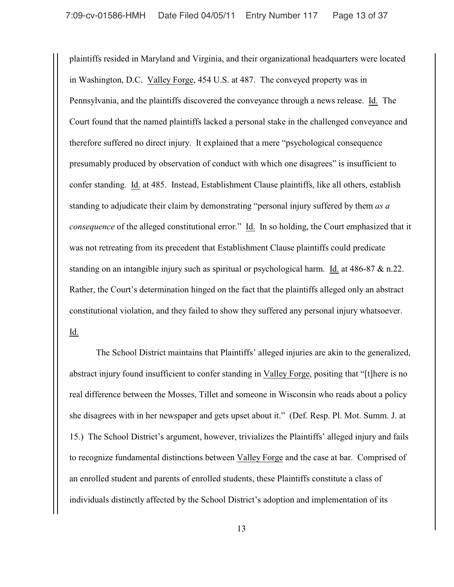plaintiffs resided in Maryland and Virginia, and their organizational headquarters were located in Washington, D.C. Valley Forge, 454 U.S. at 487. The conveyed property was in Pennsylvania, and the plaintiffs discovered the conveyance through a news release. Id. The Court found that the named plaintiffs lacked a personal stake in the challenged conveyance and therefore suffered no direct injury. It explained that a mere "psychological consequence presumably produced by observation of conduct with which one disagrees" is insufficient to confer standing. Id. at 485. Instead, Establishment Clause plaintiffs, like all others, establish standing to adjudicate their claim by demonstrating "personal injury suffered by them *as a consequence* of the alleged constitutional error." Id. In so holding, the Court emphasized that it was not retreating from its precedent that Establishment Clause plaintiffs could predicate standing on an intangible injury such as spiritual or psychological harm. Id. at 486-87 & n.22. Rather, the Court's determination hinged on the fact that the plaintiffs alleged only an abstract constitutional violation, and they failed to show they suffered any personal injury whatsoever. Id.

The School District maintains that Plaintiffs' alleged injuries are akin to the generalized, abstract injury found insufficient to confer standing in Valley Forge, positing that "[t]here is no real difference between the Mosses, Tillet and someone in Wisconsin who reads about a policy she disagrees with in her newspaper and gets upset about it." (Def. Resp. Pl. Mot. Summ. J. at 15.) The School District's argument, however, trivializes the Plaintiffs' alleged injury and fails to recognize fundamental distinctions between Valley Forge and the case at bar. Comprised of an enrolled student and parents of enrolled students, these Plaintiffs constitute a class of individuals distinctly affected by the School District's adoption and implementation of its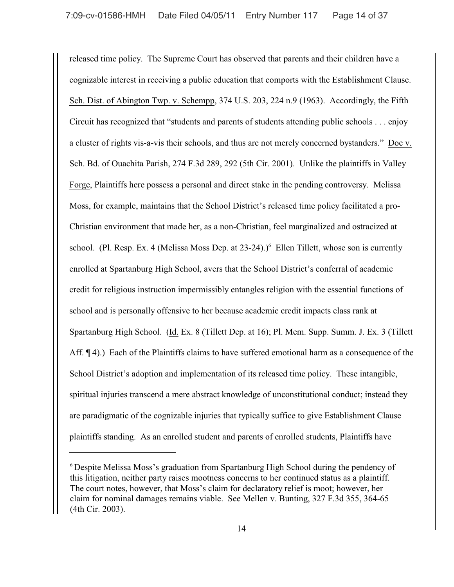released time policy. The Supreme Court has observed that parents and their children have a cognizable interest in receiving a public education that comports with the Establishment Clause. Sch. Dist. of Abington Twp. v. Schempp, 374 U.S. 203, 224 n.9 (1963). Accordingly, the Fifth Circuit has recognized that "students and parents of students attending public schools . . . enjoy a cluster of rights vis-a-vis their schools, and thus are not merely concerned bystanders." Doe v. Sch. Bd. of Ouachita Parish, 274 F.3d 289, 292 (5th Cir. 2001). Unlike the plaintiffs in Valley Forge, Plaintiffs here possess a personal and direct stake in the pending controversy. Melissa Moss, for example, maintains that the School District's released time policy facilitated a pro-Christian environment that made her, as a non-Christian, feel marginalized and ostracized at school. (Pl. Resp. Ex. 4 (Melissa Moss Dep. at  $23-24$ ).)<sup>6</sup> Ellen Tillett, whose son is currently enrolled at Spartanburg High School, avers that the School District's conferral of academic credit for religious instruction impermissibly entangles religion with the essential functions of school and is personally offensive to her because academic credit impacts class rank at Spartanburg High School. (Id. Ex. 8 (Tillett Dep. at 16); Pl. Mem. Supp. Summ. J. Ex. 3 (Tillett Aff. ¶ 4).) Each of the Plaintiffs claims to have suffered emotional harm as a consequence of the School District's adoption and implementation of its released time policy. These intangible, spiritual injuries transcend a mere abstract knowledge of unconstitutional conduct; instead they are paradigmatic of the cognizable injuries that typically suffice to give Establishment Clause plaintiffs standing. As an enrolled student and parents of enrolled students, Plaintiffs have

<sup>&</sup>lt;sup>6</sup> Despite Melissa Moss's graduation from Spartanburg High School during the pendency of this litigation, neither party raises mootness concerns to her continued status as a plaintiff. The court notes, however, that Moss's claim for declaratory relief is moot; however, her claim for nominal damages remains viable. See Mellen v. Bunting, 327 F.3d 355, 364-65 (4th Cir. 2003).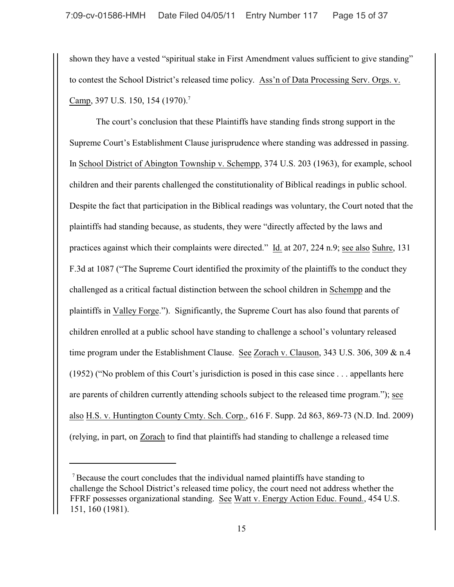shown they have a vested "spiritual stake in First Amendment values sufficient to give standing" to contest the School District's released time policy. Ass'n of Data Processing Serv. Orgs. v. Camp, 397 U.S. 150, 154 (1970).<sup>7</sup>

The court's conclusion that these Plaintiffs have standing finds strong support in the Supreme Court's Establishment Clause jurisprudence where standing was addressed in passing. In School District of Abington Township v. Schempp, 374 U.S. 203 (1963), for example, school children and their parents challenged the constitutionality of Biblical readings in public school. Despite the fact that participation in the Biblical readings was voluntary, the Court noted that the plaintiffs had standing because, as students, they were "directly affected by the laws and practices against which their complaints were directed." Id. at 207, 224 n.9; see also Suhre, 131 F.3d at 1087 ("The Supreme Court identified the proximity of the plaintiffs to the conduct they challenged as a critical factual distinction between the school children in Schempp and the plaintiffs in Valley Forge."). Significantly, the Supreme Court has also found that parents of children enrolled at a public school have standing to challenge a school's voluntary released time program under the Establishment Clause. See Zorach v. Clauson, 343 U.S. 306, 309 & n.4 (1952) ("No problem of this Court's jurisdiction is posed in this case since . . . appellants here are parents of children currently attending schools subject to the released time program."); see also H.S. v. Huntington County Cmty. Sch. Corp., 616 F. Supp. 2d 863, 869-73 (N.D. Ind. 2009) (relying, in part, on Zorach to find that plaintiffs had standing to challenge a released time

 $\alpha$ <sup>7</sup> Because the court concludes that the individual named plaintiffs have standing to challenge the School District's released time policy, the court need not address whether the FFRF possesses organizational standing. See Watt v. Energy Action Educ. Found., 454 U.S. 151, 160 (1981).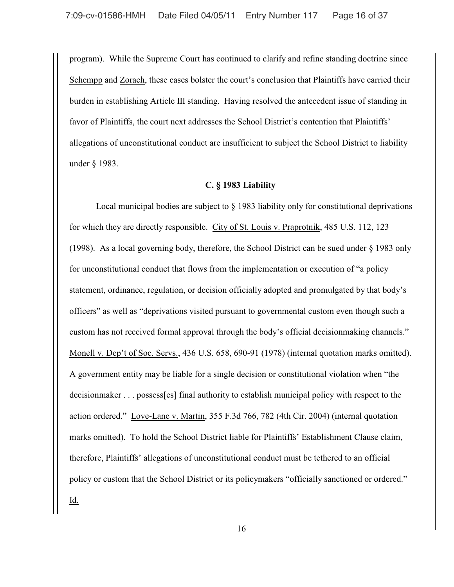program). While the Supreme Court has continued to clarify and refine standing doctrine since Schempp and Zorach, these cases bolster the court's conclusion that Plaintiffs have carried their burden in establishing Article III standing. Having resolved the antecedent issue of standing in favor of Plaintiffs, the court next addresses the School District's contention that Plaintiffs' allegations of unconstitutional conduct are insufficient to subject the School District to liability under § 1983.

#### **C. § 1983 Liability**

Local municipal bodies are subject to § 1983 liability only for constitutional deprivations for which they are directly responsible. City of St. Louis v. Praprotnik, 485 U.S. 112, 123 (1998). As a local governing body, therefore, the School District can be sued under § 1983 only for unconstitutional conduct that flows from the implementation or execution of "a policy statement, ordinance, regulation, or decision officially adopted and promulgated by that body's officers" as well as "deprivations visited pursuant to governmental custom even though such a custom has not received formal approval through the body's official decisionmaking channels." Monell v. Dep't of Soc. Servs., 436 U.S. 658, 690-91 (1978) (internal quotation marks omitted). A government entity may be liable for a single decision or constitutional violation when "the decisionmaker . . . possess[es] final authority to establish municipal policy with respect to the action ordered." Love-Lane v. Martin, 355 F.3d 766, 782 (4th Cir. 2004) (internal quotation marks omitted). To hold the School District liable for Plaintiffs' Establishment Clause claim, therefore, Plaintiffs' allegations of unconstitutional conduct must be tethered to an official policy or custom that the School District or its policymakers "officially sanctioned or ordered." <u>Id.</u>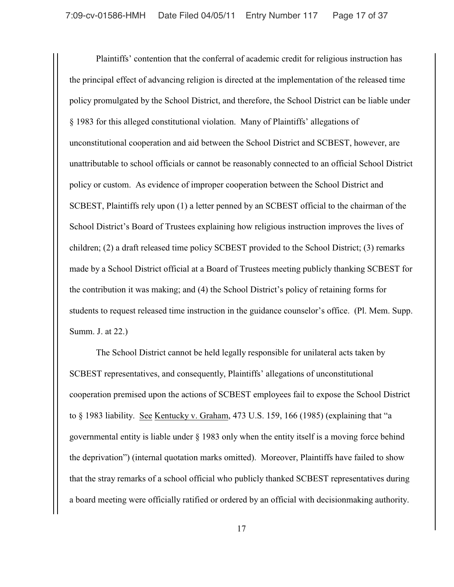Plaintiffs' contention that the conferral of academic credit for religious instruction has the principal effect of advancing religion is directed at the implementation of the released time policy promulgated by the School District, and therefore, the School District can be liable under § 1983 for this alleged constitutional violation. Many of Plaintiffs' allegations of unconstitutional cooperation and aid between the School District and SCBEST, however, are unattributable to school officials or cannot be reasonably connected to an official School District policy or custom. As evidence of improper cooperation between the School District and SCBEST, Plaintiffs rely upon (1) a letter penned by an SCBEST official to the chairman of the School District's Board of Trustees explaining how religious instruction improves the lives of children; (2) a draft released time policy SCBEST provided to the School District; (3) remarks made by a School District official at a Board of Trustees meeting publicly thanking SCBEST for the contribution it was making; and (4) the School District's policy of retaining forms for students to request released time instruction in the guidance counselor's office. (Pl. Mem. Supp. Summ. J. at 22.)

The School District cannot be held legally responsible for unilateral acts taken by SCBEST representatives, and consequently, Plaintiffs' allegations of unconstitutional cooperation premised upon the actions of SCBEST employees fail to expose the School District to § 1983 liability. See Kentucky v. Graham, 473 U.S. 159, 166 (1985) (explaining that "a governmental entity is liable under § 1983 only when the entity itself is a moving force behind the deprivation") (internal quotation marks omitted). Moreover, Plaintiffs have failed to show that the stray remarks of a school official who publicly thanked SCBEST representatives during a board meeting were officially ratified or ordered by an official with decisionmaking authority.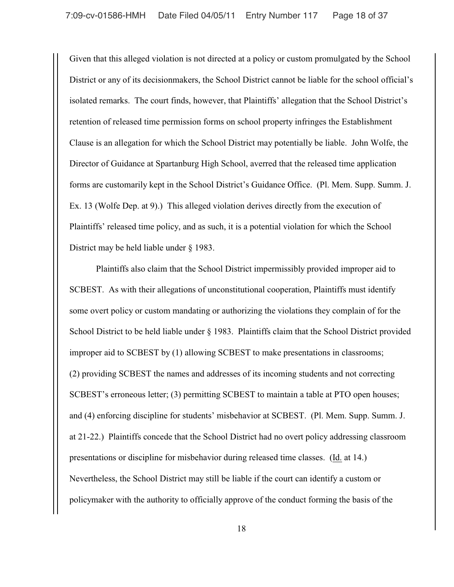Given that this alleged violation is not directed at a policy or custom promulgated by the School District or any of its decisionmakers, the School District cannot be liable for the school official's isolated remarks. The court finds, however, that Plaintiffs' allegation that the School District's retention of released time permission forms on school property infringes the Establishment Clause is an allegation for which the School District may potentially be liable. John Wolfe, the Director of Guidance at Spartanburg High School, averred that the released time application forms are customarily kept in the School District's Guidance Office. (Pl. Mem. Supp. Summ. J. Ex. 13 (Wolfe Dep. at 9).) This alleged violation derives directly from the execution of Plaintiffs' released time policy, and as such, it is a potential violation for which the School District may be held liable under § 1983.

Plaintiffs also claim that the School District impermissibly provided improper aid to SCBEST. As with their allegations of unconstitutional cooperation, Plaintiffs must identify some overt policy or custom mandating or authorizing the violations they complain of for the School District to be held liable under § 1983. Plaintiffs claim that the School District provided improper aid to SCBEST by (1) allowing SCBEST to make presentations in classrooms; (2) providing SCBEST the names and addresses of its incoming students and not correcting SCBEST's erroneous letter; (3) permitting SCBEST to maintain a table at PTO open houses; and (4) enforcing discipline for students' misbehavior at SCBEST. (Pl. Mem. Supp. Summ. J. at 21-22.) Plaintiffs concede that the School District had no overt policy addressing classroom presentations or discipline for misbehavior during released time classes. (Id. at 14.) Nevertheless, the School District may still be liable if the court can identify a custom or policymaker with the authority to officially approve of the conduct forming the basis of the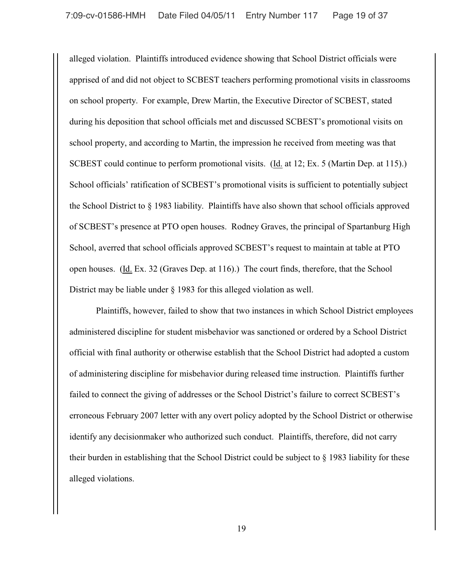alleged violation. Plaintiffs introduced evidence showing that School District officials were apprised of and did not object to SCBEST teachers performing promotional visits in classrooms on school property. For example, Drew Martin, the Executive Director of SCBEST, stated during his deposition that school officials met and discussed SCBEST's promotional visits on school property, and according to Martin, the impression he received from meeting was that SCBEST could continue to perform promotional visits. (Id. at 12; Ex. 5 (Martin Dep. at 115).) School officials' ratification of SCBEST's promotional visits is sufficient to potentially subject the School District to § 1983 liability. Plaintiffs have also shown that school officials approved of SCBEST's presence at PTO open houses. Rodney Graves, the principal of Spartanburg High School, averred that school officials approved SCBEST's request to maintain at table at PTO open houses. (Id. Ex. 32 (Graves Dep. at 116).) The court finds, therefore, that the School District may be liable under § 1983 for this alleged violation as well.

Plaintiffs, however, failed to show that two instances in which School District employees administered discipline for student misbehavior was sanctioned or ordered by a School District official with final authority or otherwise establish that the School District had adopted a custom of administering discipline for misbehavior during released time instruction. Plaintiffs further failed to connect the giving of addresses or the School District's failure to correct SCBEST's erroneous February 2007 letter with any overt policy adopted by the School District or otherwise identify any decisionmaker who authorized such conduct. Plaintiffs, therefore, did not carry their burden in establishing that the School District could be subject to § 1983 liability for these alleged violations.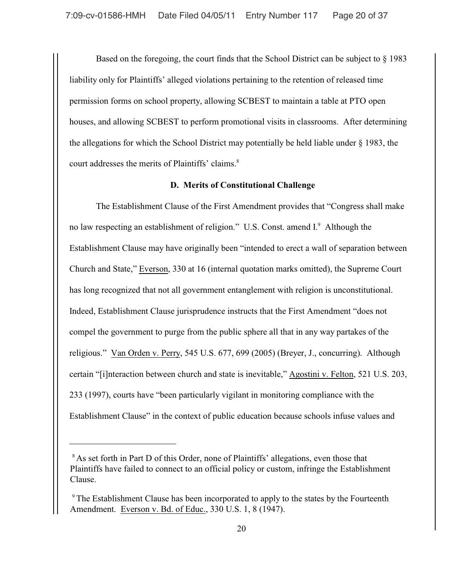Based on the foregoing, the court finds that the School District can be subject to § 1983 liability only for Plaintiffs' alleged violations pertaining to the retention of released time permission forms on school property, allowing SCBEST to maintain a table at PTO open houses, and allowing SCBEST to perform promotional visits in classrooms. After determining the allegations for which the School District may potentially be held liable under § 1983, the court addresses the merits of Plaintiffs' claims. 8

## **D. Merits of Constitutional Challenge**

The Establishment Clause of the First Amendment provides that "Congress shall make no law respecting an establishment of religion." U.S. Const. amend I.<sup>9</sup> Although the Establishment Clause may have originally been "intended to erect a wall of separation between Church and State," Everson, 330 at 16 (internal quotation marks omitted), the Supreme Court has long recognized that not all government entanglement with religion is unconstitutional. Indeed, Establishment Clause jurisprudence instructs that the First Amendment "does not compel the government to purge from the public sphere all that in any way partakes of the religious." Van Orden v. Perry, 545 U.S. 677, 699 (2005) (Breyer, J., concurring). Although certain "[i]nteraction between church and state is inevitable," Agostini v. Felton, 521 U.S. 203, 233 (1997), courts have "been particularly vigilant in monitoring compliance with the Establishment Clause" in the context of public education because schools infuse values and

<sup>&</sup>lt;sup>8</sup> As set forth in Part D of this Order, none of Plaintiffs' allegations, even those that Plaintiffs have failed to connect to an official policy or custom, infringe the Establishment Clause.

 $\degree$ The Establishment Clause has been incorporated to apply to the states by the Fourteenth Amendment. Everson v. Bd. of Educ., 330 U.S. 1, 8 (1947).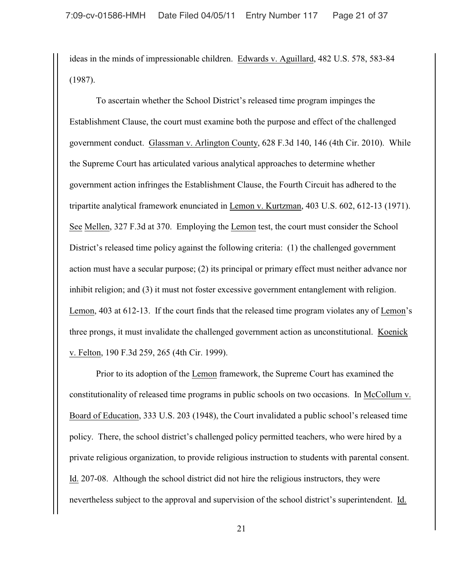ideas in the minds of impressionable children. Edwards v. Aguillard, 482 U.S. 578, 583-84 (1987).

To ascertain whether the School District's released time program impinges the Establishment Clause, the court must examine both the purpose and effect of the challenged government conduct. Glassman v. Arlington County, 628 F.3d 140, 146 (4th Cir. 2010). While the Supreme Court has articulated various analytical approaches to determine whether government action infringes the Establishment Clause, the Fourth Circuit has adhered to the tripartite analytical framework enunciated in Lemon v. Kurtzman, 403 U.S. 602, 612-13 (1971). See Mellen, 327 F.3d at 370. Employing the Lemon test, the court must consider the School District's released time policy against the following criteria: (1) the challenged government action must have a secular purpose; (2) its principal or primary effect must neither advance nor inhibit religion; and (3) it must not foster excessive government entanglement with religion. Lemon, 403 at 612-13. If the court finds that the released time program violates any of Lemon's three prongs, it must invalidate the challenged government action as unconstitutional. Koenick v. Felton, 190 F.3d 259, 265 (4th Cir. 1999).

Prior to its adoption of the Lemon framework, the Supreme Court has examined the constitutionality of released time programs in public schools on two occasions. In McCollum v. Board of Education, 333 U.S. 203 (1948), the Court invalidated a public school's released time policy. There, the school district's challenged policy permitted teachers, who were hired by a private religious organization, to provide religious instruction to students with parental consent. Id. 207-08. Although the school district did not hire the religious instructors, they were nevertheless subject to the approval and supervision of the school district's superintendent. Id.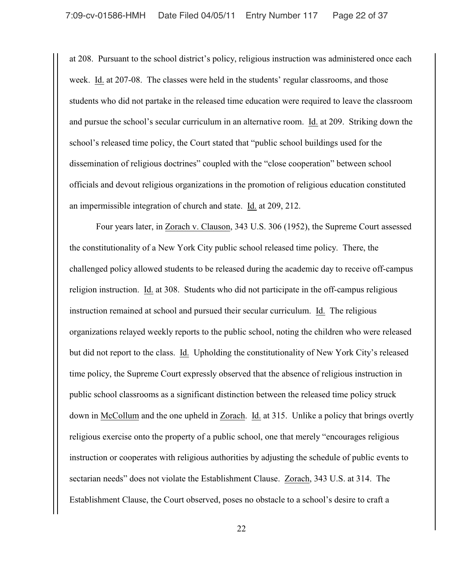at 208. Pursuant to the school district's policy, religious instruction was administered once each week. Id. at 207-08. The classes were held in the students' regular classrooms, and those students who did not partake in the released time education were required to leave the classroom and pursue the school's secular curriculum in an alternative room. Id. at 209. Striking down the school's released time policy, the Court stated that "public school buildings used for the dissemination of religious doctrines" coupled with the "close cooperation" between school officials and devout religious organizations in the promotion of religious education constituted an impermissible integration of church and state. Id. at 209, 212.

Four years later, in Zorach v. Clauson, 343 U.S. 306 (1952), the Supreme Court assessed the constitutionality of a New York City public school released time policy. There, the challenged policy allowed students to be released during the academic day to receive off-campus religion instruction. Id. at 308. Students who did not participate in the off-campus religious instruction remained at school and pursued their secular curriculum. Id. The religious organizations relayed weekly reports to the public school, noting the children who were released but did not report to the class. Id. Upholding the constitutionality of New York City's released time policy, the Supreme Court expressly observed that the absence of religious instruction in public school classrooms as a significant distinction between the released time policy struck down in McCollum and the one upheld in Zorach. Id. at 315. Unlike a policy that brings overtly religious exercise onto the property of a public school, one that merely "encourages religious instruction or cooperates with religious authorities by adjusting the schedule of public events to sectarian needs" does not violate the Establishment Clause. Zorach, 343 U.S. at 314. The Establishment Clause, the Court observed, poses no obstacle to a school's desire to craft a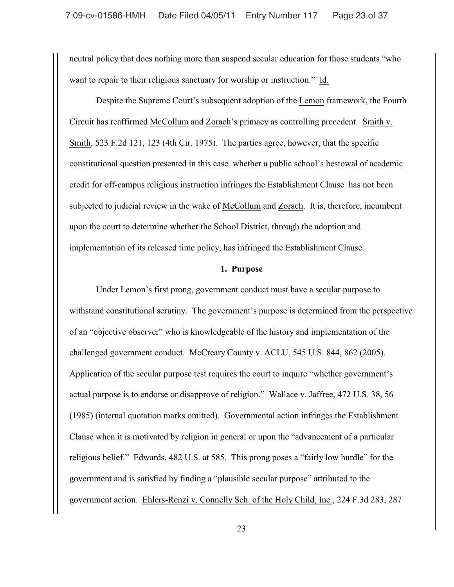neutral policy that does nothing more than suspend secular education for those students "who want to repair to their religious sanctuary for worship or instruction." Id.

Despite the Supreme Court's subsequent adoption of the Lemon framework, the Fourth Circuit has reaffirmed McCollum and Zorach's primacy as controlling precedent. Smith v. Smith, 523 F.2d 121, 123 (4th Cir. 1975). The parties agree, however, that the specific constitutional question presented in this case whether a public school's bestowal of academic credit for off-campus religious instruction infringes the Establishment Clause has not been subjected to judicial review in the wake of McCollum and Zorach. It is, therefore, incumbent upon the court to determine whether the School District, through the adoption and implementation of its released time policy, has infringed the Establishment Clause.

## **1. Purpose**

Under Lemon's first prong, government conduct must have a secular purpose to withstand constitutional scrutiny. The government's purpose is determined from the perspective of an "objective observer" who is knowledgeable of the history and implementation of the challenged government conduct. McCreary County v. ACLU, 545 U.S. 844, 862 (2005). Application of the secular purpose test requires the court to inquire "whether government's actual purpose is to endorse or disapprove of religion." Wallace v. Jaffree, 472 U.S. 38, 56 (1985) (internal quotation marks omitted). Governmental action infringes the Establishment Clause when it is motivated by religion in general or upon the "advancement of a particular religious belief." Edwards, 482 U.S. at 585. This prong poses a "fairly low hurdle" for the government and is satisfied by finding a "plausible secular purpose" attributed to the government action. Ehlers-Renzi v. Connelly Sch. of the Holy Child, Inc., 224 F.3d 283, 287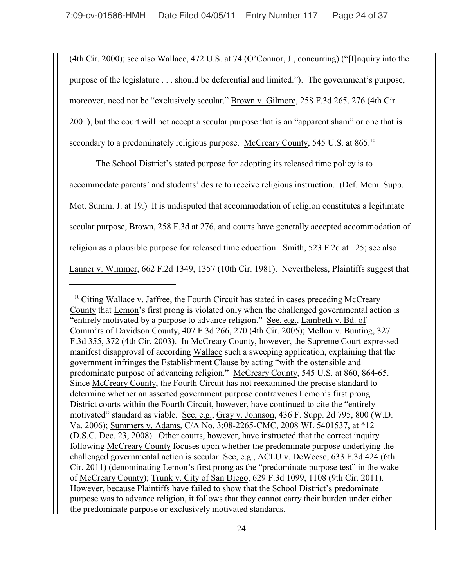(4th Cir. 2000); see also Wallace, 472 U.S. at 74 (O'Connor, J., concurring) ("[I]nquiry into the purpose of the legislature . . . should be deferential and limited."). The government's purpose, moreover, need not be "exclusively secular," Brown v. Gilmore, 258 F.3d 265, 276 (4th Cir. 2001), but the court will not accept a secular purpose that is an "apparent sham" or one that is secondary to a predominately religious purpose. McCreary County, 545 U.S. at 865.<sup>10</sup>

The School District's stated purpose for adopting its released time policy is to accommodate parents' and students' desire to receive religious instruction. (Def. Mem. Supp. Mot. Summ. J. at 19.) It is undisputed that accommodation of religion constitutes a legitimate secular purpose, Brown, 258 F.3d at 276, and courts have generally accepted accommodation of religion as a plausible purpose for released time education. Smith, 523 F.2d at 125; see also Lanner v. Wimmer, 662 F.2d 1349, 1357 (10th Cir. 1981). Nevertheless, Plaintiffs suggest that

 $10$  Citing Wallace v. Jaffree, the Fourth Circuit has stated in cases preceding McCreary County that Lemon's first prong is violated only when the challenged governmental action is "entirely motivated by a purpose to advance religion." See, e.g., Lambeth v. Bd. of Comm'rs of Davidson County, 407 F.3d 266, 270 (4th Cir. 2005); Mellon v. Bunting, 327 F.3d 355, 372 (4th Cir. 2003). In McCreary County, however, the Supreme Court expressed manifest disapproval of according Wallace such a sweeping application, explaining that the government infringes the Establishment Clause by acting "with the ostensible and predominate purpose of advancing religion." McCreary County, 545 U.S. at 860, 864-65. Since McCreary County, the Fourth Circuit has not reexamined the precise standard to determine whether an asserted government purpose contravenes Lemon's first prong. District courts within the Fourth Circuit, however, have continued to cite the "entirely motivated" standard as viable. See, e.g., Gray v. Johnson, 436 F. Supp. 2d 795, 800 (W.D. Va. 2006); Summers v. Adams, C/A No. 3:08-2265-CMC, 2008 WL 5401537, at \*12 (D.S.C. Dec. 23, 2008). Other courts, however, have instructed that the correct inquiry following McCreary County focuses upon whether the predominate purpose underlying the challenged governmental action is secular. See, e.g., ACLU v. DeWeese, 633 F.3d 424 (6th Cir. 2011) (denominating Lemon's first prong as the "predominate purpose test" in the wake of McCreary County); Trunk v. City of San Diego, 629 F.3d 1099, 1108 (9th Cir. 2011). However, because Plaintiffs have failed to show that the School District's predominate purpose was to advance religion, it follows that they cannot carry their burden under either the predominate purpose or exclusively motivated standards.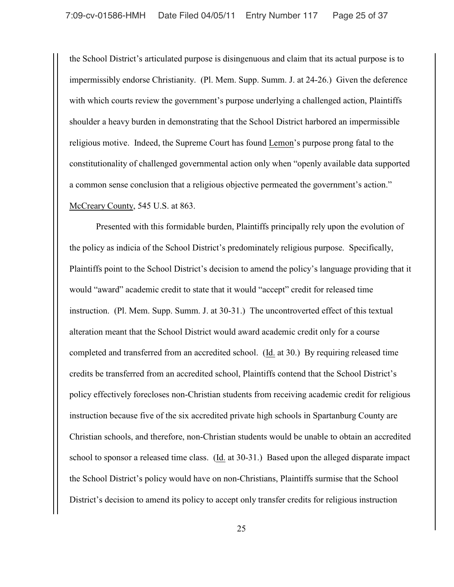the School District's articulated purpose is disingenuous and claim that its actual purpose is to impermissibly endorse Christianity. (Pl. Mem. Supp. Summ. J. at 24-26.) Given the deference with which courts review the government's purpose underlying a challenged action, Plaintiffs shoulder a heavy burden in demonstrating that the School District harbored an impermissible religious motive. Indeed, the Supreme Court has found Lemon's purpose prong fatal to the constitutionality of challenged governmental action only when "openly available data supported a common sense conclusion that a religious objective permeated the government's action." McCreary County, 545 U.S. at 863.

Presented with this formidable burden, Plaintiffs principally rely upon the evolution of the policy as indicia of the School District's predominately religious purpose. Specifically, Plaintiffs point to the School District's decision to amend the policy's language providing that it would "award" academic credit to state that it would "accept" credit for released time instruction. (Pl. Mem. Supp. Summ. J. at 30-31.) The uncontroverted effect of this textual alteration meant that the School District would award academic credit only for a course completed and transferred from an accredited school. (Id. at 30.) By requiring released time credits be transferred from an accredited school, Plaintiffs contend that the School District's policy effectively forecloses non-Christian students from receiving academic credit for religious instruction because five of the six accredited private high schools in Spartanburg County are Christian schools, and therefore, non-Christian students would be unable to obtain an accredited school to sponsor a released time class. (Id. at 30-31.) Based upon the alleged disparate impact the School District's policy would have on non-Christians, Plaintiffs surmise that the School District's decision to amend its policy to accept only transfer credits for religious instruction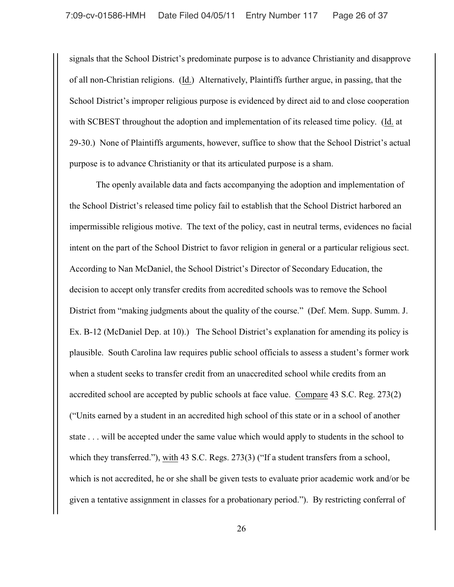signals that the School District's predominate purpose is to advance Christianity and disapprove of all non-Christian religions. (Id.) Alternatively, Plaintiffs further argue, in passing, that the School District's improper religious purpose is evidenced by direct aid to and close cooperation with SCBEST throughout the adoption and implementation of its released time policy. (Id. at 29-30.) None of Plaintiffs arguments, however, suffice to show that the School District's actual purpose is to advance Christianity or that its articulated purpose is a sham.

The openly available data and facts accompanying the adoption and implementation of the School District's released time policy fail to establish that the School District harbored an impermissible religious motive. The text of the policy, cast in neutral terms, evidences no facial intent on the part of the School District to favor religion in general or a particular religious sect. According to Nan McDaniel, the School District's Director of Secondary Education, the decision to accept only transfer credits from accredited schools was to remove the School District from "making judgments about the quality of the course." (Def. Mem. Supp. Summ. J. Ex. B-12 (McDaniel Dep. at 10).) The School District's explanation for amending its policy is plausible. South Carolina law requires public school officials to assess a student's former work when a student seeks to transfer credit from an unaccredited school while credits from an accredited school are accepted by public schools at face value. Compare 43 S.C. Reg. 273(2) ("Units earned by a student in an accredited high school of this state or in a school of another state . . . will be accepted under the same value which would apply to students in the school to which they transferred."), with 43 S.C. Regs. 273(3) ("If a student transfers from a school, which is not accredited, he or she shall be given tests to evaluate prior academic work and/or be given a tentative assignment in classes for a probationary period."). By restricting conferral of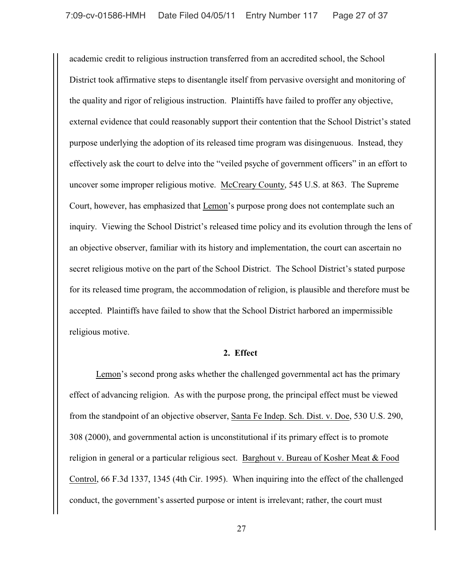academic credit to religious instruction transferred from an accredited school, the School District took affirmative steps to disentangle itself from pervasive oversight and monitoring of the quality and rigor of religious instruction. Plaintiffs have failed to proffer any objective, external evidence that could reasonably support their contention that the School District's stated purpose underlying the adoption of its released time program was disingenuous. Instead, they effectively ask the court to delve into the "veiled psyche of government officers" in an effort to uncover some improper religious motive. McCreary County, 545 U.S. at 863. The Supreme Court, however, has emphasized that Lemon's purpose prong does not contemplate such an inquiry. Viewing the School District's released time policy and its evolution through the lens of an objective observer, familiar with its history and implementation, the court can ascertain no secret religious motive on the part of the School District. The School District's stated purpose for its released time program, the accommodation of religion, is plausible and therefore must be accepted. Plaintiffs have failed to show that the School District harbored an impermissible religious motive.

#### **2. Effect**

Lemon's second prong asks whether the challenged governmental act has the primary effect of advancing religion. As with the purpose prong, the principal effect must be viewed from the standpoint of an objective observer, Santa Fe Indep. Sch. Dist. v. Doe, 530 U.S. 290, 308 (2000), and governmental action is unconstitutional if its primary effect is to promote religion in general or a particular religious sect. Barghout v. Bureau of Kosher Meat & Food Control, 66 F.3d 1337, 1345 (4th Cir. 1995). When inquiring into the effect of the challenged conduct, the government's asserted purpose or intent is irrelevant; rather, the court must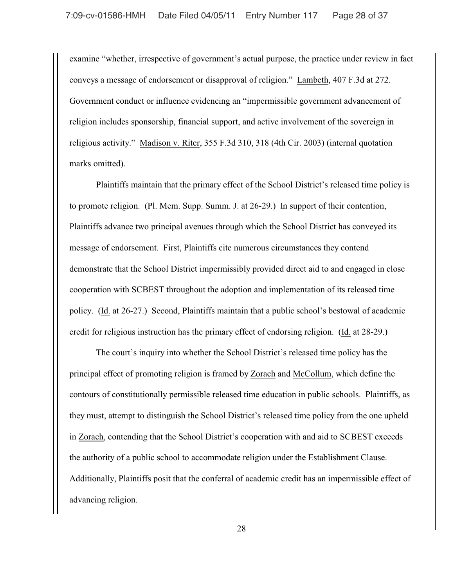examine "whether, irrespective of government's actual purpose, the practice under review in fact conveys a message of endorsement or disapproval of religion." Lambeth, 407 F.3d at 272. Government conduct or influence evidencing an "impermissible government advancement of religion includes sponsorship, financial support, and active involvement of the sovereign in religious activity." Madison v. Riter, 355 F.3d 310, 318 (4th Cir. 2003) (internal quotation marks omitted).

Plaintiffs maintain that the primary effect of the School District's released time policy is to promote religion. (Pl. Mem. Supp. Summ. J. at 26-29.) In support of their contention, Plaintiffs advance two principal avenues through which the School District has conveyed its message of endorsement. First, Plaintiffs cite numerous circumstances they contend demonstrate that the School District impermissibly provided direct aid to and engaged in close cooperation with SCBEST throughout the adoption and implementation of its released time policy. (Id. at 26-27.) Second, Plaintiffs maintain that a public school's bestowal of academic credit for religious instruction has the primary effect of endorsing religion. (Id. at 28-29.)

 The court's inquiry into whether the School District's released time policy has the principal effect of promoting religion is framed by Zorach and McCollum, which define the contours of constitutionally permissible released time education in public schools. Plaintiffs, as they must, attempt to distinguish the School District's released time policy from the one upheld in Zorach, contending that the School District's cooperation with and aid to SCBEST exceeds the authority of a public school to accommodate religion under the Establishment Clause. Additionally, Plaintiffs posit that the conferral of academic credit has an impermissible effect of advancing religion.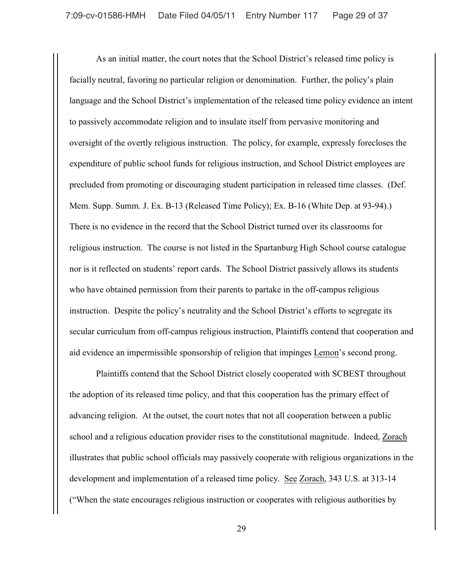As an initial matter, the court notes that the School District's released time policy is facially neutral, favoring no particular religion or denomination. Further, the policy's plain language and the School District's implementation of the released time policy evidence an intent to passively accommodate religion and to insulate itself from pervasive monitoring and oversight of the overtly religious instruction. The policy, for example, expressly forecloses the expenditure of public school funds for religious instruction, and School District employees are precluded from promoting or discouraging student participation in released time classes. (Def. Mem. Supp. Summ. J. Ex. B-13 (Released Time Policy); Ex. B-16 (White Dep. at 93-94).) There is no evidence in the record that the School District turned over its classrooms for religious instruction. The course is not listed in the Spartanburg High School course catalogue nor is it reflected on students' report cards. The School District passively allows its students who have obtained permission from their parents to partake in the off-campus religious instruction. Despite the policy's neutrality and the School District's efforts to segregate its secular curriculum from off-campus religious instruction, Plaintiffs contend that cooperation and aid evidence an impermissible sponsorship of religion that impinges Lemon's second prong.

Plaintiffs contend that the School District closely cooperated with SCBEST throughout the adoption of its released time policy, and that this cooperation has the primary effect of advancing religion. At the outset, the court notes that not all cooperation between a public school and a religious education provider rises to the constitutional magnitude. Indeed, Zorach illustrates that public school officials may passively cooperate with religious organizations in the development and implementation of a released time policy. See Zorach, 343 U.S. at 313-14 ("When the state encourages religious instruction or cooperates with religious authorities by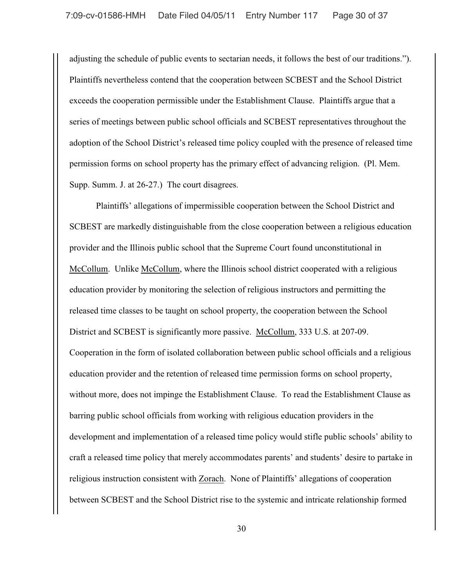adjusting the schedule of public events to sectarian needs, it follows the best of our traditions."). Plaintiffs nevertheless contend that the cooperation between SCBEST and the School District exceeds the cooperation permissible under the Establishment Clause. Plaintiffs argue that a series of meetings between public school officials and SCBEST representatives throughout the adoption of the School District's released time policy coupled with the presence of released time permission forms on school property has the primary effect of advancing religion. (Pl. Mem. Supp. Summ. J. at 26-27.) The court disagrees.

Plaintiffs' allegations of impermissible cooperation between the School District and SCBEST are markedly distinguishable from the close cooperation between a religious education provider and the Illinois public school that the Supreme Court found unconstitutional in McCollum. Unlike McCollum, where the Illinois school district cooperated with a religious education provider by monitoring the selection of religious instructors and permitting the released time classes to be taught on school property, the cooperation between the School District and SCBEST is significantly more passive. McCollum, 333 U.S. at 207-09. Cooperation in the form of isolated collaboration between public school officials and a religious education provider and the retention of released time permission forms on school property, without more, does not impinge the Establishment Clause. To read the Establishment Clause as barring public school officials from working with religious education providers in the development and implementation of a released time policy would stifle public schools' ability to craft a released time policy that merely accommodates parents' and students' desire to partake in religious instruction consistent with Zorach. None of Plaintiffs' allegations of cooperation between SCBEST and the School District rise to the systemic and intricate relationship formed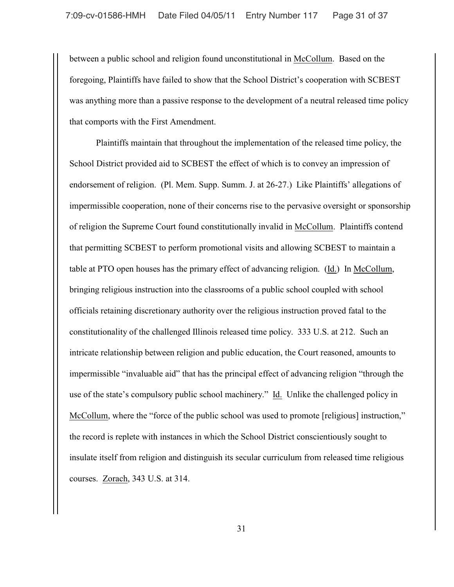between a public school and religion found unconstitutional in McCollum. Based on the foregoing, Plaintiffs have failed to show that the School District's cooperation with SCBEST was anything more than a passive response to the development of a neutral released time policy that comports with the First Amendment.

Plaintiffs maintain that throughout the implementation of the released time policy, the School District provided aid to SCBEST the effect of which is to convey an impression of endorsement of religion. (Pl. Mem. Supp. Summ. J. at 26-27.) Like Plaintiffs' allegations of impermissible cooperation, none of their concerns rise to the pervasive oversight or sponsorship of religion the Supreme Court found constitutionally invalid in McCollum. Plaintiffs contend that permitting SCBEST to perform promotional visits and allowing SCBEST to maintain a table at PTO open houses has the primary effect of advancing religion. (Id.) In McCollum, bringing religious instruction into the classrooms of a public school coupled with school officials retaining discretionary authority over the religious instruction proved fatal to the constitutionality of the challenged Illinois released time policy. 333 U.S. at 212. Such an intricate relationship between religion and public education, the Court reasoned, amounts to impermissible "invaluable aid" that has the principal effect of advancing religion "through the use of the state's compulsory public school machinery." Id. Unlike the challenged policy in McCollum, where the "force of the public school was used to promote [religious] instruction," the record is replete with instances in which the School District conscientiously sought to insulate itself from religion and distinguish its secular curriculum from released time religious courses. Zorach, 343 U.S. at 314.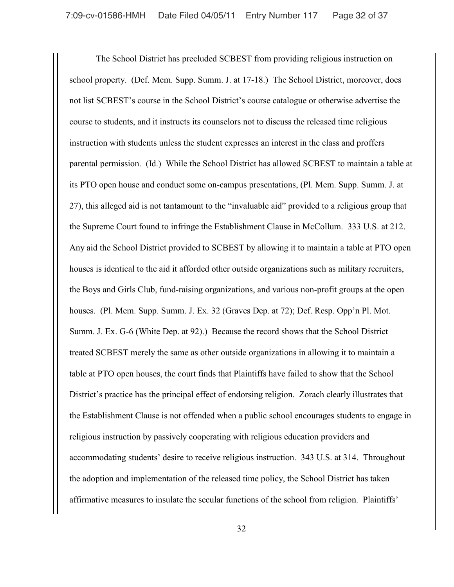The School District has precluded SCBEST from providing religious instruction on school property. (Def. Mem. Supp. Summ. J. at 17-18.) The School District, moreover, does not list SCBEST's course in the School District's course catalogue or otherwise advertise the course to students, and it instructs its counselors not to discuss the released time religious instruction with students unless the student expresses an interest in the class and proffers parental permission. (Id.) While the School District has allowed SCBEST to maintain a table at its PTO open house and conduct some on-campus presentations, (Pl. Mem. Supp. Summ. J. at 27), this alleged aid is not tantamount to the "invaluable aid" provided to a religious group that the Supreme Court found to infringe the Establishment Clause in McCollum. 333 U.S. at 212. Any aid the School District provided to SCBEST by allowing it to maintain a table at PTO open houses is identical to the aid it afforded other outside organizations such as military recruiters, the Boys and Girls Club, fund-raising organizations, and various non-profit groups at the open houses. (Pl. Mem. Supp. Summ. J. Ex. 32 (Graves Dep. at 72); Def. Resp. Opp'n Pl. Mot. Summ. J. Ex. G-6 (White Dep. at 92).) Because the record shows that the School District treated SCBEST merely the same as other outside organizations in allowing it to maintain a table at PTO open houses, the court finds that Plaintiffs have failed to show that the School District's practice has the principal effect of endorsing religion. Zorach clearly illustrates that the Establishment Clause is not offended when a public school encourages students to engage in religious instruction by passively cooperating with religious education providers and accommodating students' desire to receive religious instruction. 343 U.S. at 314. Throughout the adoption and implementation of the released time policy, the School District has taken affirmative measures to insulate the secular functions of the school from religion. Plaintiffs'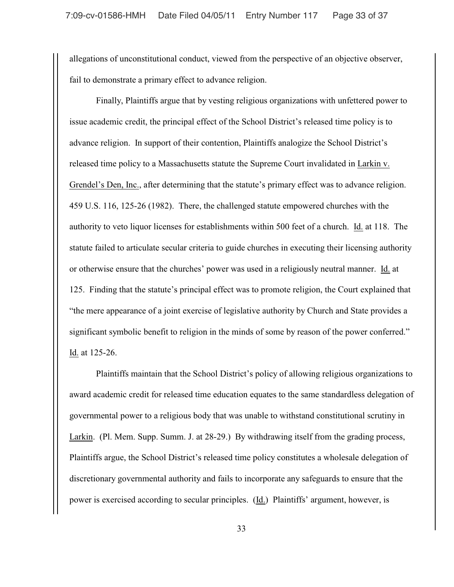allegations of unconstitutional conduct, viewed from the perspective of an objective observer, fail to demonstrate a primary effect to advance religion.

Finally, Plaintiffs argue that by vesting religious organizations with unfettered power to issue academic credit, the principal effect of the School District's released time policy is to advance religion. In support of their contention, Plaintiffs analogize the School District's released time policy to a Massachusetts statute the Supreme Court invalidated in Larkin v. Grendel's Den, Inc., after determining that the statute's primary effect was to advance religion. 459 U.S. 116, 125-26 (1982). There, the challenged statute empowered churches with the authority to veto liquor licenses for establishments within 500 feet of a church. Id. at 118. The statute failed to articulate secular criteria to guide churches in executing their licensing authority or otherwise ensure that the churches' power was used in a religiously neutral manner. Id. at 125. Finding that the statute's principal effect was to promote religion, the Court explained that "the mere appearance of a joint exercise of legislative authority by Church and State provides a significant symbolic benefit to religion in the minds of some by reason of the power conferred." Id. at 125-26.

Plaintiffs maintain that the School District's policy of allowing religious organizations to award academic credit for released time education equates to the same standardless delegation of governmental power to a religious body that was unable to withstand constitutional scrutiny in Larkin. (Pl. Mem. Supp. Summ. J. at 28-29.) By withdrawing itself from the grading process, Plaintiffs argue, the School District's released time policy constitutes a wholesale delegation of discretionary governmental authority and fails to incorporate any safeguards to ensure that the power is exercised according to secular principles. (Id.) Plaintiffs' argument, however, is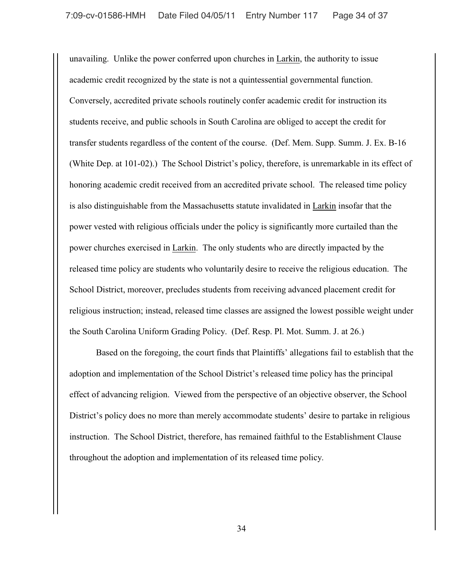unavailing. Unlike the power conferred upon churches in Larkin, the authority to issue academic credit recognized by the state is not a quintessential governmental function. Conversely, accredited private schools routinely confer academic credit for instruction its students receive, and public schools in South Carolina are obliged to accept the credit for transfer students regardless of the content of the course. (Def. Mem. Supp. Summ. J. Ex. B-16 (White Dep. at 101-02).) The School District's policy, therefore, is unremarkable in its effect of honoring academic credit received from an accredited private school. The released time policy is also distinguishable from the Massachusetts statute invalidated in Larkin insofar that the power vested with religious officials under the policy is significantly more curtailed than the power churches exercised in Larkin. The only students who are directly impacted by the released time policy are students who voluntarily desire to receive the religious education. The School District, moreover, precludes students from receiving advanced placement credit for religious instruction; instead, released time classes are assigned the lowest possible weight under the South Carolina Uniform Grading Policy. (Def. Resp. Pl. Mot. Summ. J. at 26.)

Based on the foregoing, the court finds that Plaintiffs' allegations fail to establish that the adoption and implementation of the School District's released time policy has the principal effect of advancing religion. Viewed from the perspective of an objective observer, the School District's policy does no more than merely accommodate students' desire to partake in religious instruction. The School District, therefore, has remained faithful to the Establishment Clause throughout the adoption and implementation of its released time policy.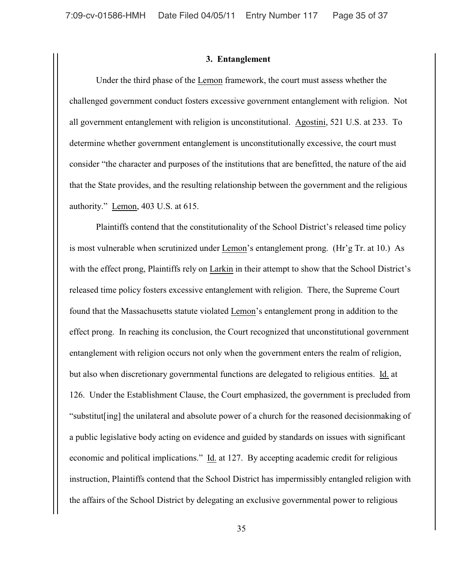#### **3. Entanglement**

Under the third phase of the Lemon framework, the court must assess whether the challenged government conduct fosters excessive government entanglement with religion. Not all government entanglement with religion is unconstitutional. Agostini, 521 U.S. at 233. To determine whether government entanglement is unconstitutionally excessive, the court must consider "the character and purposes of the institutions that are benefitted, the nature of the aid that the State provides, and the resulting relationship between the government and the religious authority." Lemon, 403 U.S. at 615.

Plaintiffs contend that the constitutionality of the School District's released time policy is most vulnerable when scrutinized under Lemon's entanglement prong. (Hr'g Tr. at 10.) As with the effect prong, Plaintiffs rely on Larkin in their attempt to show that the School District's released time policy fosters excessive entanglement with religion. There, the Supreme Court found that the Massachusetts statute violated Lemon's entanglement prong in addition to the effect prong. In reaching its conclusion, the Court recognized that unconstitutional government entanglement with religion occurs not only when the government enters the realm of religion, but also when discretionary governmental functions are delegated to religious entities. Id. at 126. Under the Establishment Clause, the Court emphasized, the government is precluded from "substitut[ing] the unilateral and absolute power of a church for the reasoned decisionmaking of a public legislative body acting on evidence and guided by standards on issues with significant economic and political implications." Id. at 127. By accepting academic credit for religious instruction, Plaintiffs contend that the School District has impermissibly entangled religion with the affairs of the School District by delegating an exclusive governmental power to religious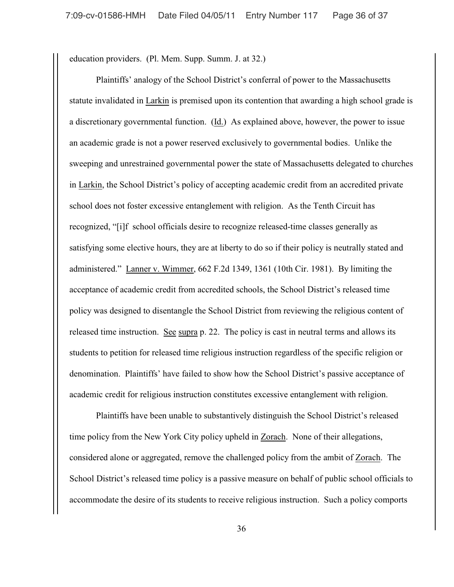education providers. (Pl. Mem. Supp. Summ. J. at 32.)

Plaintiffs' analogy of the School District's conferral of power to the Massachusetts statute invalidated in Larkin is premised upon its contention that awarding a high school grade is a discretionary governmental function. (Id.) As explained above, however, the power to issue an academic grade is not a power reserved exclusively to governmental bodies. Unlike the sweeping and unrestrained governmental power the state of Massachusetts delegated to churches in Larkin, the School District's policy of accepting academic credit from an accredited private school does not foster excessive entanglement with religion. As the Tenth Circuit has recognized, "[i]f school officials desire to recognize released-time classes generally as satisfying some elective hours, they are at liberty to do so if their policy is neutrally stated and administered." Lanner v. Wimmer, 662 F.2d 1349, 1361 (10th Cir. 1981). By limiting the acceptance of academic credit from accredited schools, the School District's released time policy was designed to disentangle the School District from reviewing the religious content of released time instruction. See supra p. 22. The policy is cast in neutral terms and allows its students to petition for released time religious instruction regardless of the specific religion or denomination. Plaintiffs' have failed to show how the School District's passive acceptance of academic credit for religious instruction constitutes excessive entanglement with religion.

Plaintiffs have been unable to substantively distinguish the School District's released time policy from the New York City policy upheld in Zorach. None of their allegations, considered alone or aggregated, remove the challenged policy from the ambit of Zorach. The School District's released time policy is a passive measure on behalf of public school officials to accommodate the desire of its students to receive religious instruction. Such a policy comports